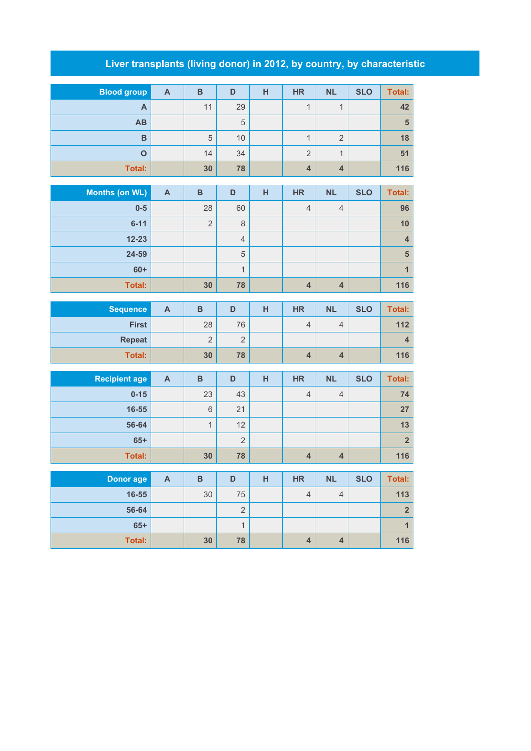## **Liver transplants (living donor) in 2012, by country, by characteristic**

| <b>Blood group</b> | $\mathsf{A}$ | B  | D  | н | <b>HR</b>      | <b>NL</b> | <b>SLO</b> | Total: |
|--------------------|--------------|----|----|---|----------------|-----------|------------|--------|
| A                  |              | 11 | 29 |   | 4              |           |            | 42     |
| <b>AB</b>          |              |    | 5  |   |                |           |            | 5      |
| B                  |              | 5  | 10 |   |                | ◠         |            | 18     |
| O                  |              | 14 | 34 |   | $\overline{2}$ | <b>A</b>  |            | 51     |
| Total:             |              | 30 | 78 |   | $\overline{4}$ | 4         |            | 116    |

| Months (on WL) | $\mathsf{A}$ | B              | D              | Н | <b>HR</b>      | <b>NL</b>      | <b>SLO</b> | Total:         |
|----------------|--------------|----------------|----------------|---|----------------|----------------|------------|----------------|
| $0-5$          |              | 28             | 60             |   | $\overline{4}$ | $\overline{4}$ |            | 96             |
| $6 - 11$       |              | $\overline{2}$ | 8              |   |                |                |            | 10             |
| $12 - 23$      |              |                | $\overline{4}$ |   |                |                |            | 4              |
| 24-59          |              |                | 5              |   |                |                |            | $5\phantom{1}$ |
| $60+$          |              |                | 1              |   |                |                |            |                |
| <b>Total:</b>  |              | 30             | 78             |   | 4              | $\overline{4}$ |            | 116            |

| <b>Sequence</b> | A | в  |                 | н | <b>HR</b> | <b>NL</b> | <b>SLO</b> | Total: |
|-----------------|---|----|-----------------|---|-----------|-----------|------------|--------|
| <b>First</b>    |   | 28 | 76              |   | 4         | 4         |            | 112    |
| <b>Repeat</b>   |   | ∼  | $\sqrt{2}$<br>∠ |   |           |           |            |        |
| Total:          |   | 30 | 78              |   |           | 4         |            | 116    |

| <b>Recipient age</b> | A | B  | D              | н | <b>HR</b>      | <b>NL</b> | <b>SLO</b> | Total: |
|----------------------|---|----|----------------|---|----------------|-----------|------------|--------|
| $0 - 15$             |   | 23 | 43             |   | $\overline{4}$ | 4         |            | 74     |
| 16-55                |   | 6  | 21             |   |                |           |            | 27     |
| 56-64                |   |    | 12             |   |                |           |            | 13     |
| $65+$                |   |    | $\overline{2}$ |   |                |           |            |        |
| <b>Total:</b>        |   | 30 | 78             |   |                | 4         |            | 116    |

| Donor age     | A | B  | D             | н | <b>HR</b> | <b>NL</b> | <b>SLO</b> | Total:    |
|---------------|---|----|---------------|---|-----------|-----------|------------|-----------|
| 16-55         |   | 30 | 75            |   | 4         | 4         |            | 113       |
| 56-64         |   |    | $\Omega$<br>∠ |   |           |           |            | $\bullet$ |
| $65+$         |   |    |               |   |           |           |            |           |
| <b>Total:</b> |   | 30 | 78            |   |           | 4         |            | 116       |